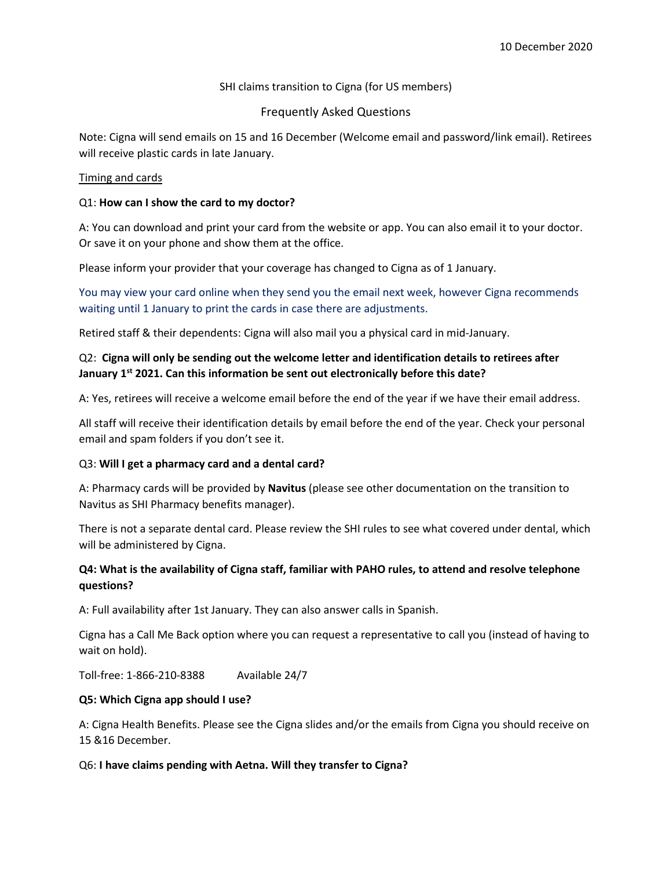## SHI claims transition to Cigna (for US members)

# Frequently Asked Questions

Note: Cigna will send emails on 15 and 16 December (Welcome email and password/link email). Retirees will receive plastic cards in late January.

#### Timing and cards

#### Q1: **How can I show the card to my doctor?**

A: You can download and print your card from the website or app. You can also email it to your doctor. Or save it on your phone and show them at the office.

Please inform your provider that your coverage has changed to Cigna as of 1 January.

You may view your card online when they send you the email next week, however Cigna recommends waiting until 1 January to print the cards in case there are adjustments.

Retired staff & their dependents: Cigna will also mail you a physical card in mid-January.

## Q2: **Cigna will only be sending out the welcome letter and identification details to retirees after January 1st 2021. Can this information be sent out electronically before this date?**

A: Yes, retirees will receive a welcome email before the end of the year if we have their email address.

All staff will receive their identification details by email before the end of the year. Check your personal email and spam folders if you don't see it.

## Q3: **Will I get a pharmacy card and a dental card?**

A: Pharmacy cards will be provided by **Navitus** (please see other documentation on the transition to Navitus as SHI Pharmacy benefits manager).

There is not a separate dental card. Please review the SHI rules to see what covered under dental, which will be administered by Cigna.

# **Q4: What is the availability of Cigna staff, familiar with PAHO rules, to attend and resolve telephone questions?**

A: Full availability after 1st January. They can also answer calls in Spanish.

Cigna has a Call Me Back option where you can request a representative to call you (instead of having to wait on hold).

Toll-free: 1-866-210-8388 Available 24/7

## **Q5: Which Cigna app should I use?**

A: Cigna Health Benefits. Please see the Cigna slides and/or the emails from Cigna you should receive on 15 &16 December.

## Q6: **I have claims pending with Aetna. Will they transfer to Cigna?**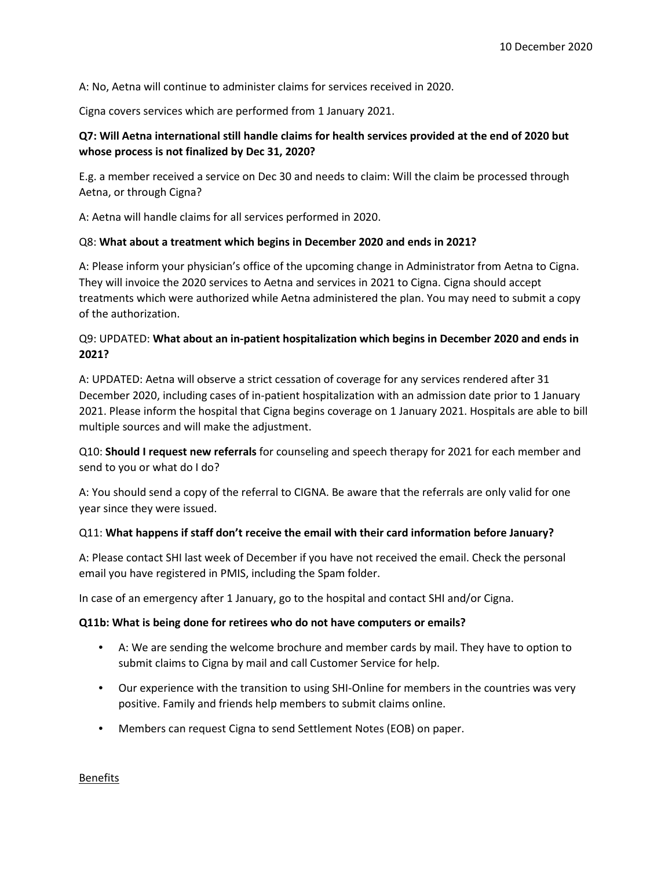A: No, Aetna will continue to administer claims for services received in 2020.

Cigna covers services which are performed from 1 January 2021.

# **Q7: Will Aetna international still handle claims for health services provided at the end of 2020 but whose process is not finalized by Dec 31, 2020?**

E.g. a member received a service on Dec 30 and needs to claim: Will the claim be processed through Aetna, or through Cigna?

A: Aetna will handle claims for all services performed in 2020.

#### Q8: **What about a treatment which begins in December 2020 and ends in 2021?**

A: Please inform your physician's office of the upcoming change in Administrator from Aetna to Cigna. They will invoice the 2020 services to Aetna and services in 2021 to Cigna. Cigna should accept treatments which were authorized while Aetna administered the plan. You may need to submit a copy of the authorization.

# Q9: UPDATED: **What about an in-patient hospitalization which begins in December 2020 and ends in 2021?**

A: UPDATED: Aetna will observe a strict cessation of coverage for any services rendered after 31 December 2020, including cases of in-patient hospitalization with an admission date prior to 1 January 2021. Please inform the hospital that Cigna begins coverage on 1 January 2021. Hospitals are able to bill multiple sources and will make the adjustment.

Q10: **Should I request new referrals** for counseling and speech therapy for 2021 for each member and send to you or what do I do?

A: You should send a copy of the referral to CIGNA. Be aware that the referrals are only valid for one year since they were issued.

#### Q11: **What happens if staff don't receive the email with their card information before January?**

A: Please contact SHI last week of December if you have not received the email. Check the personal email you have registered in PMIS, including the Spam folder.

In case of an emergency after 1 January, go to the hospital and contact SHI and/or Cigna.

#### **Q11b: What is being done for retirees who do not have computers or emails?**

- A: We are sending the welcome brochure and member cards by mail. They have to option to submit claims to Cigna by mail and call Customer Service for help.
- Our experience with the transition to using SHI-Online for members in the countries was very positive. Family and friends help members to submit claims online.
- Members can request Cigna to send Settlement Notes (EOB) on paper.

Benefits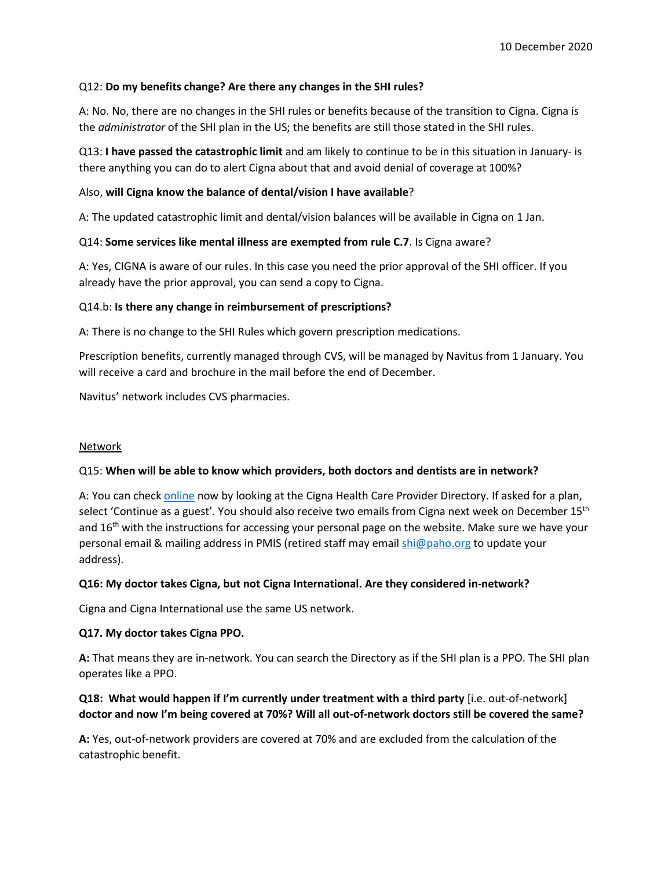## Q12: **Do my benefits change? Are there any changes in the SHI rules?**

A: No. No, there are no changes in the SHI rules or benefits because of the transition to Cigna. Cigna is the *administrator* of the SHI plan in the US; the benefits are still those stated in the SHI rules.

Q13: **I have passed the catastrophic limit** and am likely to continue to be in this situation in January- is there anything you can do to alert Cigna about that and avoid denial of coverage at 100%?

## Also, **will Cigna know the balance of dental/vision I have available**?

A: The updated catastrophic limit and dental/vision balances will be available in Cigna on 1 Jan.

## Q14: **Some services like mental illness are exempted from rule C.7**. Is Cigna aware?

A: Yes, CIGNA is aware of our rules. In this case you need the prior approval of the SHI officer. If you already have the prior approval, you can send a copy to Cigna.

## Q14.b: **Is there any change in reimbursement of prescriptions?**

A: There is no change to the SHI Rules which govern prescription medications.

Prescription benefits, currently managed through CVS, will be managed by Navitus from 1 January. You will receive a card and brochure in the mail before the end of December.

Navitus' network includes CVS pharmacies.

## **Network**

## Q15: **When will be able to know which providers, both doctors and dentists are in network?**

A: You can check online now by looking at the Cigna Health Care Provider Directory. If asked for a plan, select 'Continue as a guest'. You should also receive two emails from Cigna next week on December 15<sup>th</sup> and  $16<sup>th</sup>$  with the instructions for accessing your personal page on the website. Make sure we have your personal email & mailing address in PMIS (retired staff may email shi@paho.org to update your address).

## **Q16: My doctor takes Cigna, but not Cigna International. Are they considered in-network?**

Cigna and Cigna International use the same US network.

## **Q17. My doctor takes Cigna PPO.**

**A:** That means they are in-network. You can search the Directory as if the SHI plan is a PPO. The SHI plan operates like a PPO.

# **Q18: What would happen if I'm currently under treatment with a third party** [i.e. out-of-network] **doctor and now I'm being covered at 70%? Will all out-of-network doctors still be covered the same?**

**A:** Yes, out-of-network providers are covered at 70% and are excluded from the calculation of the catastrophic benefit.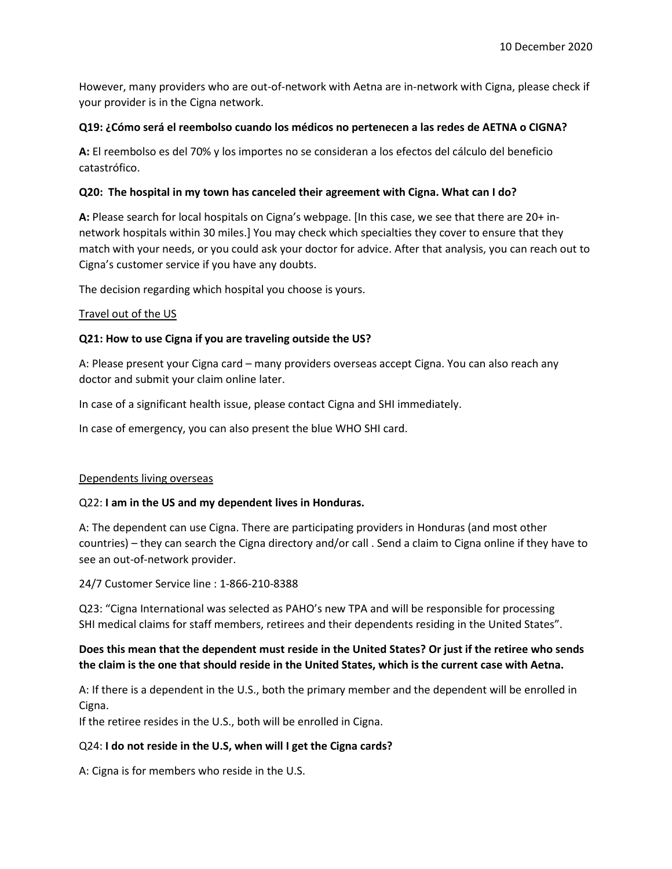However, many providers who are out-of-network with Aetna are in-network with Cigna, please check if your provider is in the Cigna network.

## **Q19: ¿Cómo será el reembolso cuando los médicos no pertenecen a las redes de AETNA o CIGNA?**

**A:** El reembolso es del 70% y los importes no se consideran a los efectos del cálculo del beneficio catastrófico.

## **Q20: The hospital in my town has canceled their agreement with Cigna. What can I do?**

**A:** Please search for local hospitals on Cigna's webpage. [In this case, we see that there are 20+ innetwork hospitals within 30 miles.] You may check which specialties they cover to ensure that they match with your needs, or you could ask your doctor for advice. After that analysis, you can reach out to Cigna's customer service if you have any doubts.

The decision regarding which hospital you choose is yours.

## Travel out of the US

## **Q21: How to use Cigna if you are traveling outside the US?**

A: Please present your Cigna card – many providers overseas accept Cigna. You can also reach any doctor and submit your claim online later.

In case of a significant health issue, please contact Cigna and SHI immediately.

In case of emergency, you can also present the blue WHO SHI card.

## Dependents living overseas

## Q22: **I am in the US and my dependent lives in Honduras.**

A: The dependent can use Cigna. There are participating providers in Honduras (and most other countries) – they can search the Cigna directory and/or call . Send a claim to Cigna online if they have to see an out-of-network provider.

24/7 Customer Service line : 1-866-210-8388

Q23: "Cigna International was selected as PAHO's new TPA and will be responsible for processing SHI medical claims for staff members, retirees and their dependents residing in the United States".

# **Does this mean that the dependent must reside in the United States? Or just if the retiree who sends the claim is the one that should reside in the United States, which is the current case with Aetna.**

A: If there is a dependent in the U.S., both the primary member and the dependent will be enrolled in Cigna.

If the retiree resides in the U.S., both will be enrolled in Cigna.

# Q24: **I do not reside in the U.S, when will I get the Cigna cards?**

A: Cigna is for members who reside in the U.S.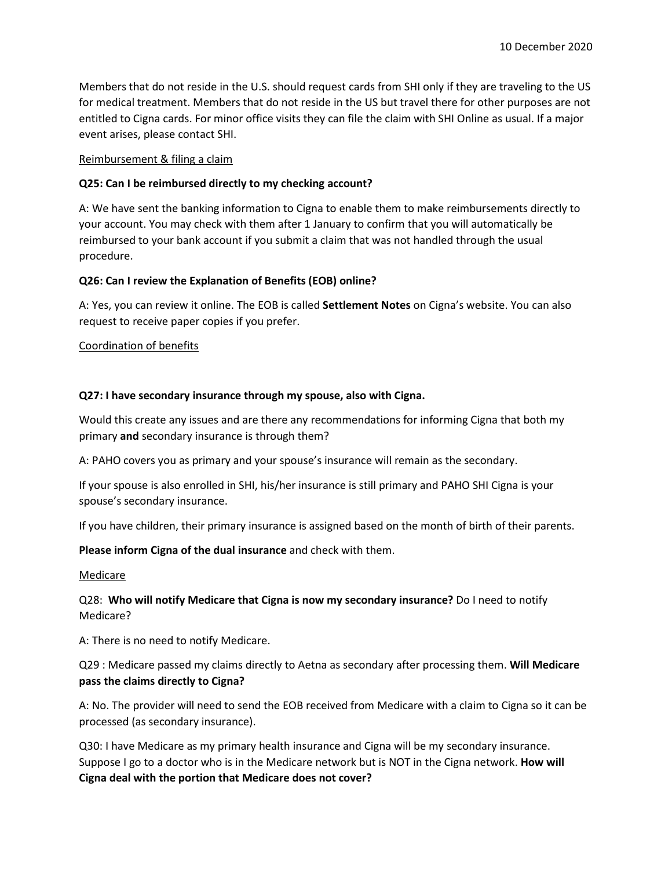Members that do not reside in the U.S. should request cards from SHI only if they are traveling to the US for medical treatment. Members that do not reside in the US but travel there for other purposes are not entitled to Cigna cards. For minor office visits they can file the claim with SHI Online as usual. If a major event arises, please contact SHI.

#### Reimbursement & filing a claim

## **Q25: Can I be reimbursed directly to my checking account?**

A: We have sent the banking information to Cigna to enable them to make reimbursements directly to your account. You may check with them after 1 January to confirm that you will automatically be reimbursed to your bank account if you submit a claim that was not handled through the usual procedure.

#### **Q26: Can I review the Explanation of Benefits (EOB) online?**

A: Yes, you can review it online. The EOB is called **Settlement Notes** on Cigna's website. You can also request to receive paper copies if you prefer.

#### Coordination of benefits

#### **Q27: I have secondary insurance through my spouse, also with Cigna.**

Would this create any issues and are there any recommendations for informing Cigna that both my primary **and** secondary insurance is through them?

A: PAHO covers you as primary and your spouse's insurance will remain as the secondary.

If your spouse is also enrolled in SHI, his/her insurance is still primary and PAHO SHI Cigna is your spouse's secondary insurance.

If you have children, their primary insurance is assigned based on the month of birth of their parents.

**Please inform Cigna of the dual insurance** and check with them.

#### Medicare

## Q28: **Who will notify Medicare that Cigna is now my secondary insurance?** Do I need to notify Medicare?

A: There is no need to notify Medicare.

Q29 : Medicare passed my claims directly to Aetna as secondary after processing them. **Will Medicare pass the claims directly to Cigna?**

A: No. The provider will need to send the EOB received from Medicare with a claim to Cigna so it can be processed (as secondary insurance).

Q30: I have Medicare as my primary health insurance and Cigna will be my secondary insurance. Suppose I go to a doctor who is in the Medicare network but is NOT in the Cigna network. **How will Cigna deal with the portion that Medicare does not cover?**